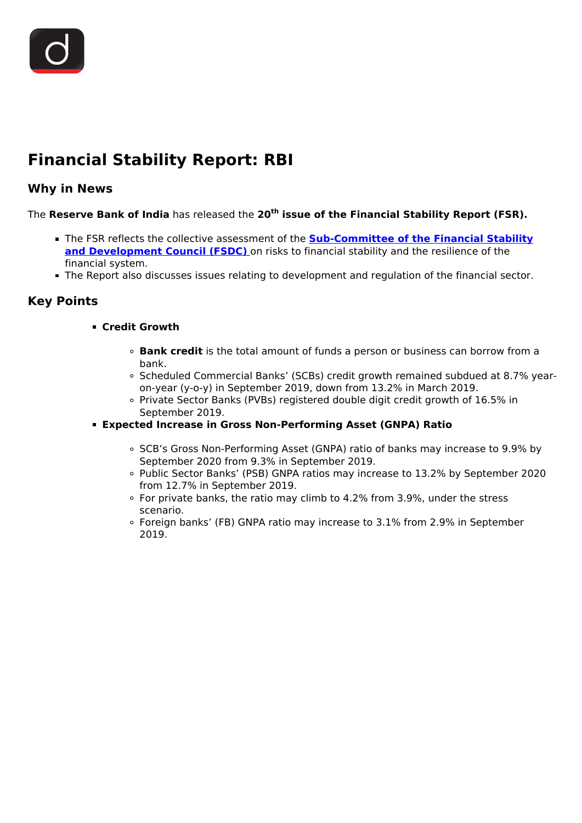# **Financial Stability Report: RBI**

## **Why in News**

The **Reserve Bank of India** has released the **20th issue of the Financial Stability Report (FSR).**

- **The FSR reflects the collective assessment of the <b>[Sub-Committee of the Financial Stability](/daily-updates/daily-news-analysis/financial-stability-report) [and Development Council \(FSDC\)](/daily-updates/daily-news-analysis/financial-stability-report)** on risks to financial stability and the resilience of the financial system.
- The Report also discusses issues relating to development and regulation of the financial sector.

### **Key Points**

- **Credit Growth**
	- **Bank credit** is the total amount of funds a person or business can borrow from a bank.
	- Scheduled Commercial Banks' (SCBs) credit growth remained subdued at 8.7% yearon-year (y-o-y) in September 2019, down from 13.2% in March 2019.
	- Private Sector Banks (PVBs) registered double digit credit growth of 16.5% in September 2019.
- **Expected Increase in Gross Non-Performing Asset (GNPA) Ratio**
	- SCB's Gross Non-Performing Asset (GNPA) ratio of banks may increase to 9.9% by September 2020 from 9.3% in September 2019.
	- Public Sector Banks' (PSB) GNPA ratios may increase to 13.2% by September 2020 from 12.7% in September 2019.
	- For private banks, the ratio may climb to 4.2% from 3.9%, under the stress scenario.
	- Foreign banks' (FB) GNPA ratio may increase to 3.1% from 2.9% in September 2019.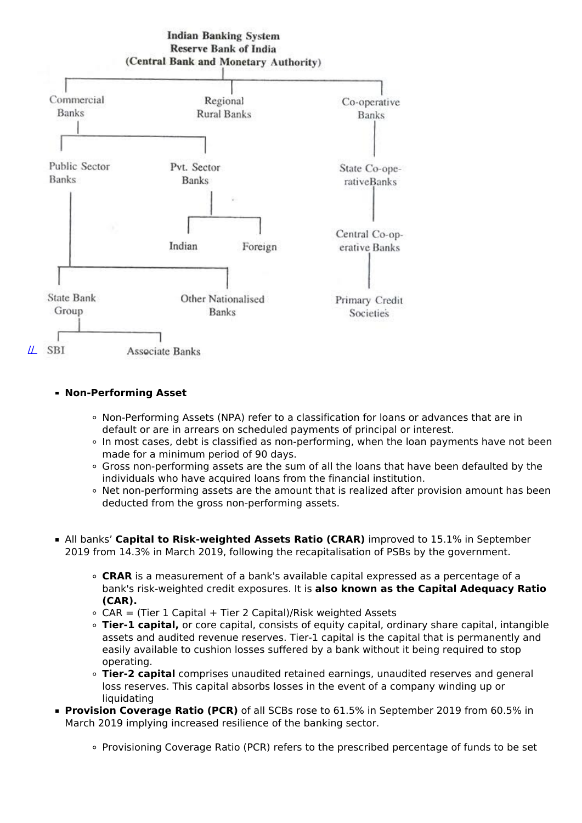

#### **Non-Performing Asset**

- Non-Performing Assets (NPA) refer to a classification for loans or advances that are in default or are in arrears on scheduled payments of principal or interest.
- In most cases, debt is classified as non-performing, when the loan payments have not been made for a minimum period of 90 days.
- Gross non-performing assets are the sum of all the loans that have been defaulted by the individuals who have acquired loans from the financial institution.
- Net non-performing assets are the amount that is realized after provision amount has been deducted from the gross non-performing assets.
- All banks' **Capital to Risk-weighted Assets Ratio (CRAR)** improved to 15.1% in September 2019 from 14.3% in March 2019, following the recapitalisation of PSBs by the government.
	- **CRAR** is a measurement of a bank's available capital expressed as a percentage of a bank's risk-weighted credit exposures. It is **also known as the Capital Adequacy Ratio (CAR).**
	- $\circ$  CAR = (Tier 1 Capital + Tier 2 Capital)/Risk weighted Assets
	- **Tier-1 capital,** or core capital, consists of equity capital, ordinary share capital, intangible assets and audited revenue reserves. Tier-1 capital is the capital that is permanently and easily available to cushion losses suffered by a bank without it being required to stop operating.
	- **Tier-2 capital** comprises unaudited retained earnings, unaudited reserves and general loss reserves. This capital absorbs losses in the event of a company winding up or liquidating
- **Provision Coverage Ratio (PCR)** of all SCBs rose to 61.5% in September 2019 from 60.5% in March 2019 implying increased resilience of the banking sector.
	- Provisioning Coverage Ratio (PCR) refers to the prescribed percentage of funds to be set